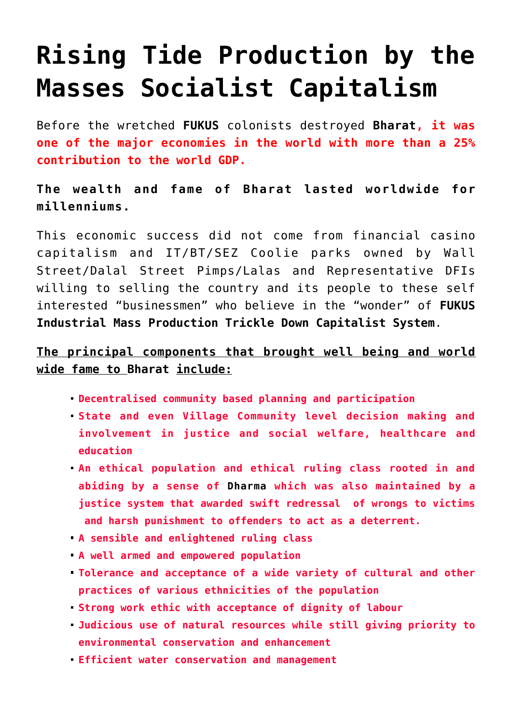# **[Rising Tide Production by the](https://aryadharma.world/concepts/thestate/rising-tide-production-by-the-masses-socialist-capitalism/) [Masses Socialist Capitalism](https://aryadharma.world/concepts/thestate/rising-tide-production-by-the-masses-socialist-capitalism/)**

Before the wretched **[FUKUS](http://aryadharma.world/fukus/)** colonists destroyed **[Bharat](http://aryadharma.world/bharat/), it was one of the major economies in the world with more than a 25% contribution to the world GDP.**

**The wealth and fame of [Bharat](http://aryadharma.world/bharat/) lasted worldwide for millenniums.**

This economic success did not come from financial [casino](https://en.wikipedia.org/wiki/Susan_Strange) [capitalism](https://en.wikipedia.org/wiki/Susan_Strange) and IT/BT/SEZ Coolie parks owned by [Wall](http://aryadharma.world/fukus/wallstreetpimps/) [Street/Dalal Street Pimps/Lalas](http://aryadharma.world/fukus/wallstreetpimps/) and [Representative DFIs](http://aryadharma.world/fukus/repsofpeople/) willing to selling the country and its people to these self interested "businessmen" who believe in the "wonder" of **[FUKUS](http://aryadharma.world/fukus/) [Industrial Mass Production Trickle Down Capitalist System](http://aryadharma.world/fukus/fukus-capitalism)**.

# **The principal components that brought well being and world wide fame to [Bharat](http://aryadharma.world/bharat/) include:**

- **Decentralised community based planning and participation**
- **State and even Village Community level decision making and involvement in justice and social welfare, healthcare and education**
- **An ethical population and ethical ruling class rooted in and abiding by a sense of [Dharma](http://aryadharma.world/concepts/brahman/dharma/) which was also maintained by a justice system that awarded swift redressal of wrongs to victims and harsh punishment to offenders to act as a deterrent.**
- **A sensible and enlightened ruling class**
- **A well armed and empowered population**
- **Tolerance and acceptance of a wide variety of cultural and other practices of various ethnicities of the population**
- **Strong work ethic with acceptance of dignity of labour**
- **Judicious use of natural resources while still giving priority to environmental conservation and enhancement**
- **Efficient water conservation and management**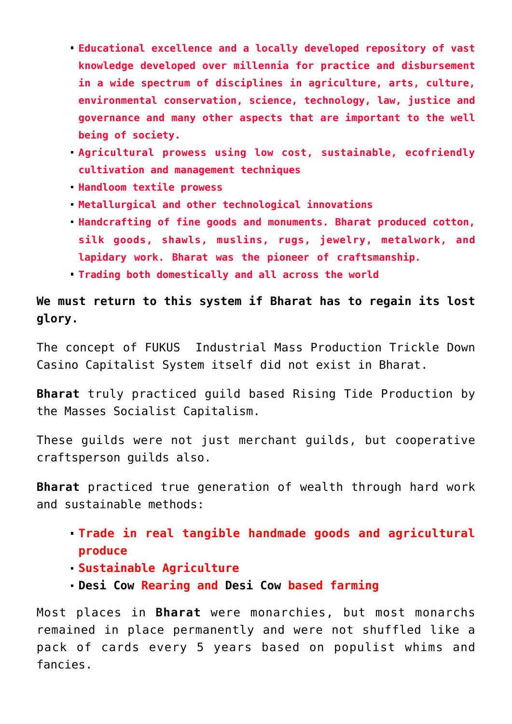- **Educational excellence and a locally developed repository of vast knowledge developed over millennia for practice and disbursement in a wide spectrum of disciplines in agriculture, arts, culture, environmental conservation, science, technology, law, justice and governance and many other aspects that are important to the well being of society.**
- **Agricultural prowess using low cost, sustainable, ecofriendly cultivation and management techniques**
- **Handloom textile prowess**
- **Metallurgical and other technological innovations**
- **Handcrafting of fine goods and monuments. Bharat produced cotton, silk goods, shawls, muslins, rugs, jewelry, metalwork, and lapidary work. Bharat was the pioneer of craftsmanship.**
- **Trading both domestically and all across the world**

**We must return to this system if [Bharat](http://aryadharma.world/bharat/) has to regain its lost glory.**

The concept of [FUKUS](http://aryadharma.world/fukus/) [Industrial Mass Production Trickle Down](https://aryadharma.world/fukus/fukus-capitalism/) [Casino Capitalist System i](https://aryadharma.world/fukus/fukus-capitalism/)tself did not exist in Bharat.

**[Bharat](http://aryadharma.world/bharat/)** truly practiced [guild](https://en.wikipedia.org/wiki/Guild) based Rising Tide Production by the Masses Socialist Capitalism.

These guilds were not just merchant guilds, but cooperative craftsperson guilds also.

**[Bharat](http://aryadharma.world/bharat/)** practiced true generation of wealth through hard work and sustainable methods:

- **Trade in real tangible handmade goods and agricultural produce**
- **Sustainable Agriculture**
- **[Desi Cow](http://www.biodiversityofindia.org/index.php?title=Native_cow_varieties_of_India) Rearing and [Desi Cow](http://www.biodiversityofindia.org/index.php?title=Native_cow_varieties_of_India) based farming**

Most places in **[Bharat](http://aryadharma.world/bharat/)** were monarchies, but most monarchs remained in place permanently and were not shuffled like a pack of cards every 5 years based on populist whims and fancies.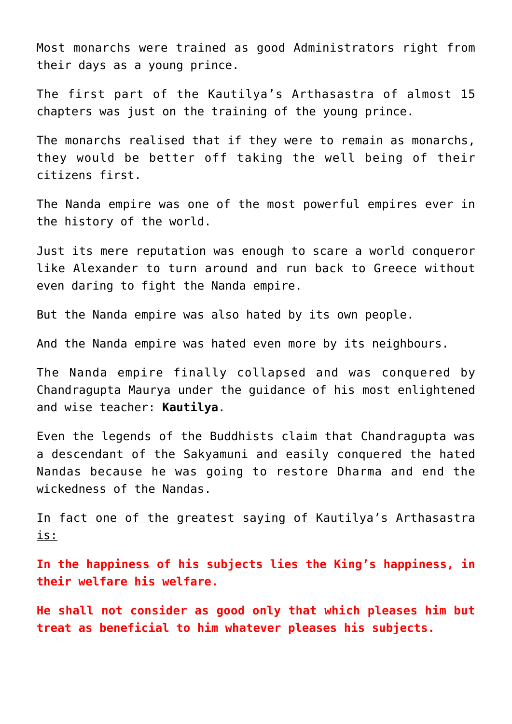Most monarchs were trained as good [Administrators](https://aryadharma.world/concepts/thestate/administrators/) right from their days as a young prince.

The first part of the [Kautilya's](https://aryadharma.world/bharat/kautilya/) [Arthasastra](https://en.wikipedia.org/wiki/Arthashastra) of almost 15 chapters was just on the training of the young prince.

The monarchs realised that if they were to remain as monarchs, they would be better off taking the well being of their citizens first.

The [Nanda empire](https://en.wikipedia.org/wiki/Nanda_Empire) was one of the most powerful empires ever in the history of the world.

Just its mere reputation was enough to [scare a world conqueror](https://en.wikipedia.org/wiki/Greek_conquests_in_India#Conquests_of_Alexander_The_Great_.28327.E2.80.93326_BC.29) like [Alexander](https://en.wikipedia.org/wiki/Alexander) to turn around and run back to Greece without even daring to fight the Nanda empire.

But the [Nanda empire](https://en.wikipedia.org/wiki/Nanda_Empire) was also hated by its own people.

And the [Nanda empire](https://en.wikipedia.org/wiki/Nanda_Empire) was hated even more by its neighbours.

The [Nanda empire](https://en.wikipedia.org/wiki/Nanda_Empire) finally collapsed and [was conquered](https://en.wikipedia.org/wiki/Conquest_of_the_Nanda_Empire) by [Chandragupta Maurya](https://en.wikipedia.org/wiki/Chandragupta_Maurya) under the guidance of his most enlightened and wise teacher: **[Kautilya](https://aryadharma.world/bharat/kautilya/)**.

Even the legends of the Buddhists claim that [Chandragupta](https://en.wikipedia.org/wiki/Chandragupta_Maurya) was a descendant of the [Sakyamuni](https://aryadharma.world/concepts/brahman/the-sakyamuni/) and easily conquered the hated [Nandas](https://en.wikipedia.org/wiki/Nanda_Empire) because he was going to restore [Dharma](https://aryadharma.world/concepts/brahman/dharma/) and end the wickedness of the [Nandas.](https://en.wikipedia.org/wiki/Nanda_Empire)

In fact one of the greatest saying of [Kautilya's](https://aryadharma.world/bharat/kautilya/) [Arthasastra](https://en.wikipedia.org/wiki/Arthashastra) is:

**In the happiness of his subjects lies the King's happiness, in their welfare his welfare.**

**He shall not consider as good only that which pleases him but treat as beneficial to him whatever pleases his subjects.**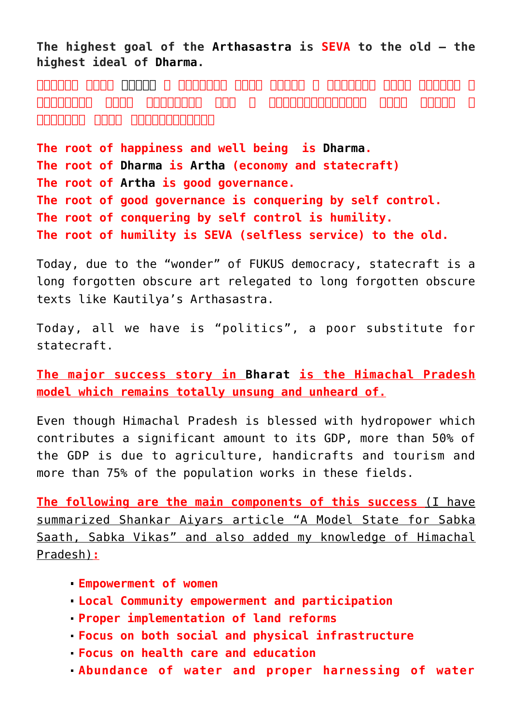**The highest goal of the [Arthasastra](https://en.wikipedia.org/wiki/Arthashastra) is SEVA to the old – the highest ideal of [Dharma](https://aryadharma.world/concepts/brahman/dharma/).**

**सुखस्य मूलं [धर्मः ।](https://aryadharma.world/concepts/brahman/dharma/) धर्मस्य मूलं अर्थः । अर्थस्य मूलं राज्यं । राज्यस्य मूलं इन्द्िरय जयः । इन्द्िरयाजयस्य मूलं िवनयः । िवनयस्य मूलं वृद्धोपसेवा॥**

**The root of happiness and well being is [Dharma](https://aryadharma.world/concepts/brahman/dharma/). The root of [Dharma](https://aryadharma.world/concepts/brahman/dharma/) is [Artha](https://en.wikipedia.org/wiki/Artha) (economy and statecraft) The root of [Artha](https://en.wikipedia.org/wiki/Artha) is good governance. The root of good governance is conquering by self control. The root of conquering by self control is humility. The root of humility is SEVA (selfless service) to the old.**

Today, due to the "wonder" of [FUKUS](https://aryadharma.world/fukus/) [democracy,](https://aryadharma.world/fukus/repsofpeople/) statecraft is a long forgotten obscure art relegated to long forgotten obscure texts like [Kautilya's](https://aryadharma.world/bharat/kautilya/) [Arthasastra.](https://en.wikipedia.org/wiki/Arthashastra)

Today, all we have is "politics", a poor substitute for statecraft.

**[The major success story](http://www.newindianexpress.com/columns/shankkar_aiyar/A-Model-State-for-Sabka-Saath-Sabka-Vikas/2015/04/05/article2747716.ece) in [Bharat](http://aryadharma.world/bharat/) is the [Himachal Pradesh](http://en.wikipedia.org/wiki/Himachal_Pradesh) model which remains totally unsung and unheard of.**

Even though [Himachal Pradesh](http://en.wikipedia.org/wiki/Himachal_Pradesh) is blessed with [hydropower](http://en.wikipedia.org/wiki/Hydro_electric) which contributes a significant amount to its GDP, more than 50% of the GDP is due to agriculture, handicrafts and tourism and more than 75% of the population works in these fields.

**The following are the main components of this success** (I have summarized [Shankar Aiyars article](http://www.newindianexpress.com/columns/shankkar_aiyar/A-Model-State-for-Sabka-Saath-Sabka-Vikas/2015/04/05/article2747716.ece) "A Model State for Sabka Saath, Sabka Vikas" and also added my knowledge of [Himachal](http://en.wikipedia.org/wiki/Himachal_Pradesh) [Pradesh](http://en.wikipedia.org/wiki/Himachal_Pradesh))**:**

- **Empowerment of women**
- **Local Community empowerment and participation**
- **Proper implementation of land reforms**
- **Focus on both social and physical infrastructure**
- **Focus on health care and education**
- **Abundance of water and proper harnessing of water**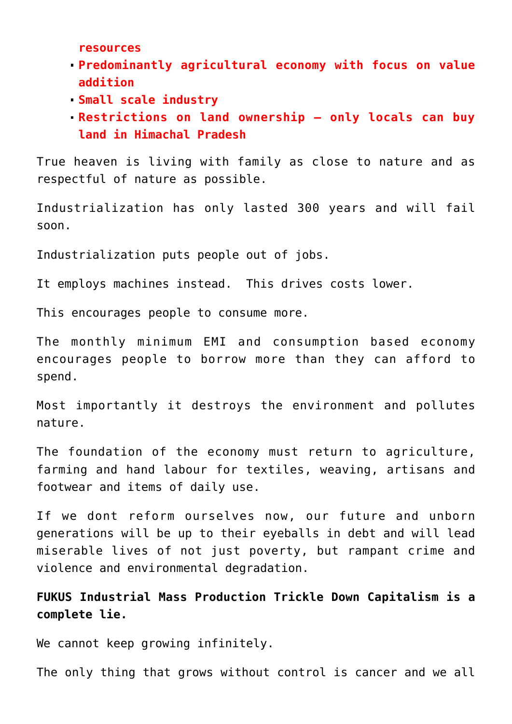**resources**

- **Predominantly agricultural economy with focus on value addition**
- **Small scale industry**
- **Restrictions on land ownership only locals can buy land in [Himachal Pradesh](http://en.wikipedia.org/wiki/Himachal_Pradesh)**

True heaven is living with family as close to nature and as respectful of nature as possible.

Industrialization has only lasted 300 years and will fail soon.

Industrialization puts people out of jobs.

It employs machines instead. This drives costs lower.

This encourages people to consume more.

The monthly minimum EMI and consumption based economy encourages people to borrow more than they can afford to spend.

Most importantly it destroys the environment and pollutes nature.

The foundation of the economy must return to agriculture, farming and hand labour for textiles, weaving, artisans and footwear and items of daily use.

If we dont reform ourselves now, our future and unborn generations will be up to their eyeballs in debt and will lead miserable lives of not just poverty, but rampant crime and violence and environmental degradation.

**[FUKUS](http://aryadharma.world/fukus/) [Industrial Mass Production Trickle Down Capitalism](http://aryadharma.world/fukus/fukus-capitalism) is a complete lie.**

We cannot keep growing infinitely.

The only thing that grows without control is cancer and we all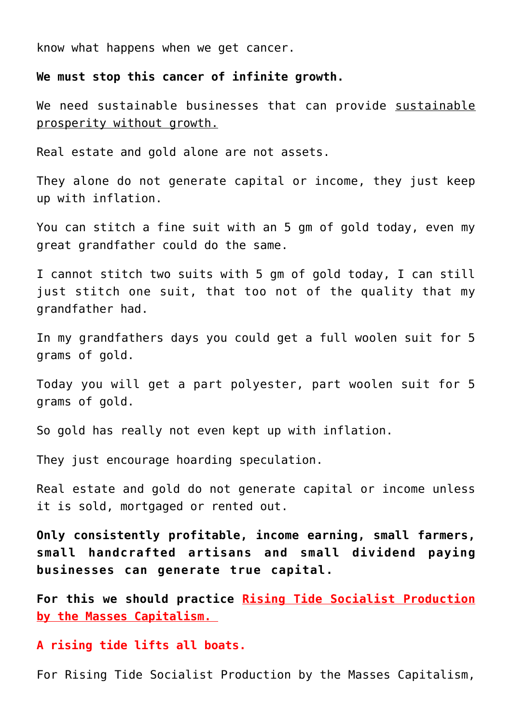know what happens when we get cancer.

#### **We must stop this cancer of infinite growth.**

We need sustainable businesses that can provide sustainable prosperity without growth.

Real estate and gold alone are not assets.

They alone do not generate capital or income, they just keep up with inflation.

You can stitch a fine suit with an 5 gm of gold today, even my great grandfather could do the same.

I cannot stitch two suits with 5 gm of gold today, I can still just stitch one suit, that too not of the quality that my grandfather had.

In my grandfathers days you could get a full woolen suit for 5 grams of gold.

Today you will get a part polyester, part woolen suit for 5 grams of gold.

So gold has really not even kept up with inflation.

They just encourage hoarding speculation.

Real estate and gold do not generate capital or income unless it is sold, mortgaged or rented out.

**Only consistently profitable, income earning, small farmers, small handcrafted artisans and small dividend paying businesses can generate true capital.**

**For this we should practice Rising Tide Socialist Production by the Masses Capitalism.**

**A rising tide lifts all boats.**

For Rising Tide Socialist Production by the Masses Capitalism,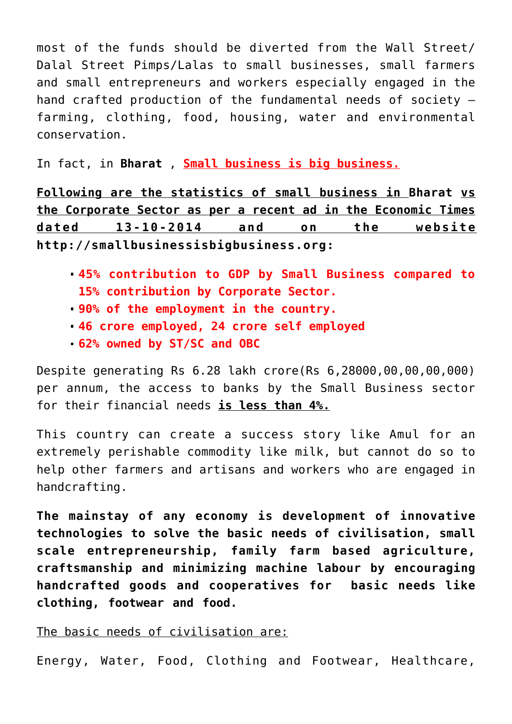most of the funds should be diverted from the [Wall Street/](http://aryadharma.world/fukus/wallstreetpimps/) [Dalal Street Pimps/Lalas](http://aryadharma.world/fukus/wallstreetpimps/) to small businesses, small farmers and small entrepreneurs and workers especially engaged in the hand crafted production of the fundamental needs of society – farming, clothing, food, housing, water and environmental conservation.

In fact, in **[Bharat](http://aryadharma.world/bharat/)** , **Small business is big business.**

**Following are the statistics of small business in [Bharat](http://aryadharma.world/bharat/) vs the Corporate Sector as per a recent ad in the Economic Times dated 13-10-2014 and on the website [http://smallbusinessisbigbusiness.org:](http://smallbusinessisbigbusiness.org/)**

- **45% contribution to GDP by Small Business compared to 15% contribution by Corporate Sector.**
- **90% of the employment in the country.**
- **46 crore employed, 24 crore self employed**
- **62% owned by ST/SC and OBC**

Despite generating Rs 6.28 lakh crore(Rs 6,28000,00,00,00,000) per annum, the access to banks by the Small Business sector for their financial needs **is less than 4%.**

This country can create a success story like [Amul](http://en.wikipedia.org/wiki/Amul) for an extremely perishable commodity like milk, but cannot do so to help other farmers and artisans and workers who are engaged in handcrafting.

**The mainstay of any economy is development of innovative technologies to solve the basic needs of civilisation, small scale entrepreneurship, family farm based agriculture, craftsmanship and minimizing machine labour by encouraging handcrafted goods and cooperatives for basic needs like clothing, footwear and food.**

## The basic needs of civilisation are:

Energy, Water, Food, Clothing and Footwear, Healthcare,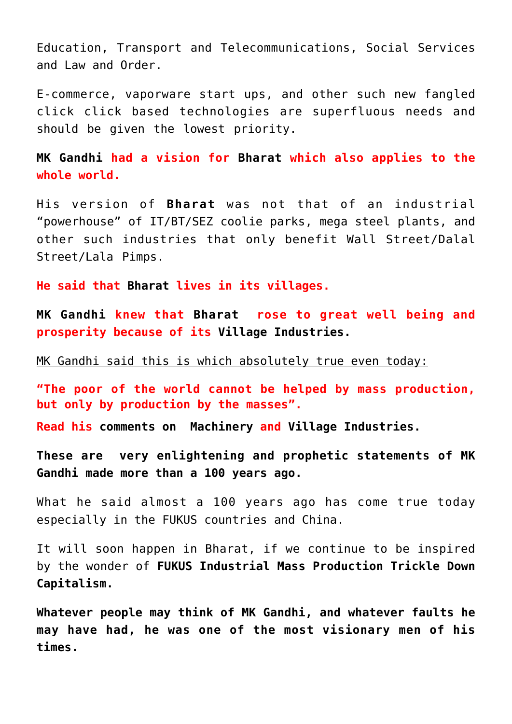Education, Transport and Telecommunications, Social Services and Law and Order.

E-commerce, [vaporware](https://en.wikipedia.org/wiki/Vaporware) start ups, and other such new fangled click click based technologies are superfluous needs and should be given the lowest priority.

**[MK Gandhi](http://en.wikipedia.org/wiki/Mahatma_Gandhi) had a vision for [Bharat](http://aryadharma.world/bharat/) which also applies to the whole world.** 

His version of **[Bharat](http://aryadharma.world/bharat/)** was not that of an industrial "powerhouse" of IT/BT/SEZ coolie parks, mega steel plants, and other such industries that only benefit [Wall Street/Dalal](http://aryadharma.world/fukus/wallstreetpimps/) [Street/Lala Pimps.](http://aryadharma.world/fukus/wallstreetpimps/)

**He said that [Bharat](http://aryadharma.world/bharat/) lives in its villages.** 

**[MK Gandhi](http://en.wikipedia.org/wiki/Mahatma_Gandhi) knew that [Bharat](http://aryadharma.world/bharat/) rose to great well being and prosperity because of its [Village Industries.](http://www.mkgandhi.org/villageindustries/villageindustries.htm)**

MK Gandhi said this is which absolutely true even today:

**"The poor of the world cannot be helped by mass production, but only by production by the masses".**

**Read his [comments on Machinery](http://www.mkgandhi.org/momgandhi/chap48.htm) and [Village Industries.](http://www.mkgandhi.org/villageindustries/villageindustries.htm)**

**These are very enlightening and prophetic statements of [MK](http://en.wikipedia.org/wiki/Mahatma_Gandhi) [Gandhi](http://en.wikipedia.org/wiki/Mahatma_Gandhi) made more than a 100 years ago.**

What he said almost a 100 years ago has come true today especially in the [FUKUS](http://aryadharma.world/fukus/) countries and China.

It will soon happen in Bharat, if we continue to be inspired by the wonder of **[FUKUS](http://aryadharma.world/fukus/) [Industrial Mass Production Trickle Down](http://aryadharma.world/fukus/fukus-capitalism) [Capitalism.](http://aryadharma.world/fukus/fukus-capitalism)**

**Whatever people may think of [MK Gandhi](http://en.wikipedia.org/wiki/Mahatma_Gandhi), and whatever faults he may have had, he was one of the most visionary men of his times.**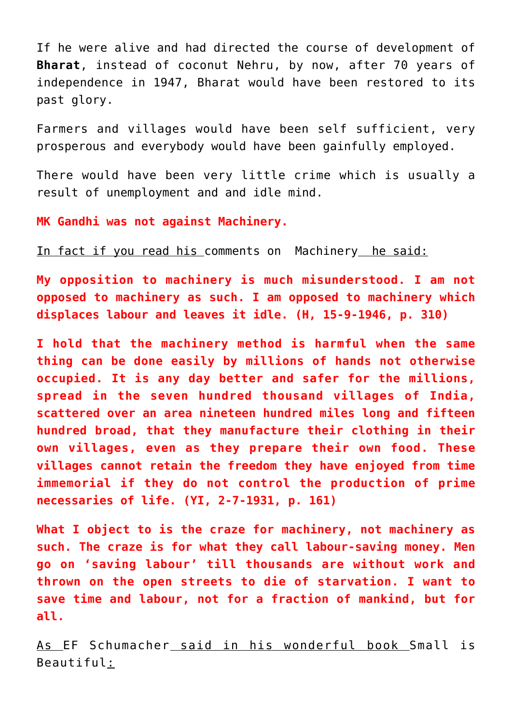If he were alive and had directed the course of development of **[Bharat](http://aryadharma.world/bharat/)**, instead of [coconut](http://aryadharma.world/bharat/coconut/) [Nehru](https://en.wikipedia.org/wiki/Jawaharlal_Nehru), by now, after 70 years of independence in 1947, Bharat would have been restored to its past glory.

Farmers and villages would have been self sufficient, very prosperous and everybody would have been gainfully employed.

There would have been very little crime which is usually a result of unemployment and and idle mind.

**MK Gandhi was not against Machinery.**

In fact if you read his [comments on Machinery](http://www.mkgandhi.org/momgandhi/chap48.htm) he said:

**My opposition to machinery is much misunderstood. I am not opposed to machinery as such. I am opposed to machinery which displaces labour and leaves it idle. (H, 15-9-1946, p. 310)**

**I hold that the machinery method is harmful when the same thing can be done easily by millions of hands not otherwise occupied. It is any day better and safer for the millions, spread in the seven hundred thousand villages of India, scattered over an area nineteen hundred miles long and fifteen hundred broad, that they manufacture their clothing in their own villages, even as they prepare their own food. These villages cannot retain the freedom they have enjoyed from time immemorial if they do not control the production of prime necessaries of life. (YI, 2-7-1931, p. 161)**

**What I object to is the craze for machinery, not machinery as such. The craze is for what they call labour-saving money. Men go on 'saving labour' till thousands are without work and thrown on the open streets to die of starvation. I want to save time and labour, not for a fraction of mankind, but for all.**

As [EF Schumacher](http://en.wikipedia.org/wiki/E._F._Schumacher) said in his wonderful book [Small is](http://en.wikipedia.org/wiki/Small_Is_Beautiful) [Beautiful:](http://en.wikipedia.org/wiki/Small_Is_Beautiful)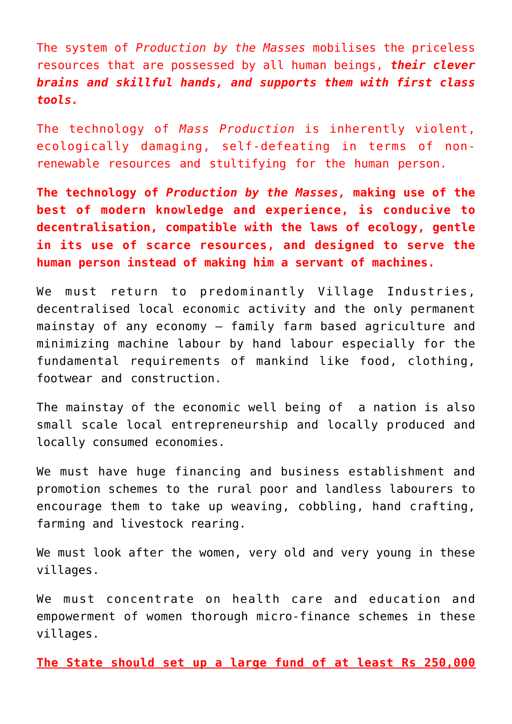The system of *Production by the Masses* mobilises the priceless resources that are possessed by all human beings, *their clever brains and skillful hands, and supports them with first class tools.*

The technology of *Mass Production* is inherently violent, ecologically damaging, self-defeating in terms of nonrenewable resources and stultifying for the human person.

**The technology of** *Production by the Masses,* **making use of the best of modern knowledge and experience, is conducive to decentralisation, compatible with the laws of ecology, gentle in its use of scarce resources, and designed to serve the human person instead of making him a servant of machines.**

We must return to predominantly [Village Industries,](http://www.mkgandhi.org/villageindustries/villageindustries.htm) decentralised local economic activity and the only permanent mainstay of any economy – family farm based agriculture and minimizing machine labour by hand labour especially for the fundamental requirements of mankind like food, clothing, footwear and construction.

The mainstay of the economic well being of a nation is also small scale local entrepreneurship and locally produced and locally consumed economies.

We must have huge financing and business establishment and promotion schemes to the rural poor and landless labourers to encourage them to take up weaving, cobbling, hand crafting, farming and livestock rearing.

We must look after the women, very old and very young in these villages.

We must concentrate on health care and education and empowerment of women thorough micro-finance schemes in these villages.

**The State should set up a large fund of at least Rs 250,000**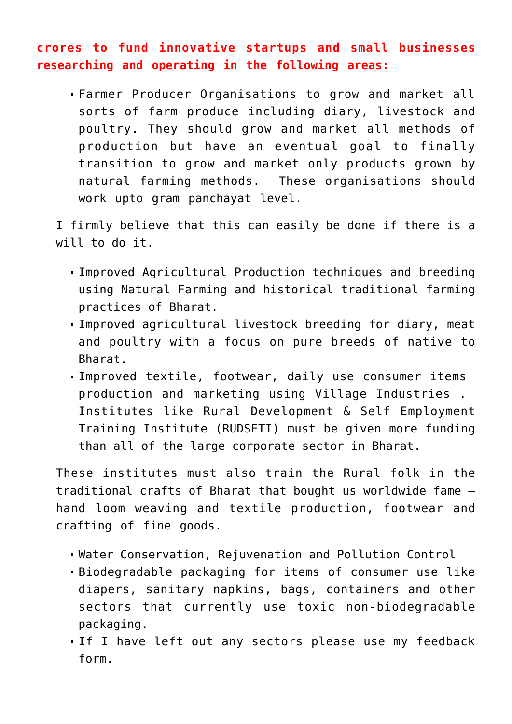**crores to fund innovative startups and small businesses researching and operating in the following areas:**

Farmer Producer Organisations to grow and market all sorts of farm produce including diary, livestock and poultry. They should grow and market all methods of production but have an eventual goal to finally transition to grow and market only products grown by natural farming methods. These organisations should work upto gram panchayat level.

I firmly believe that this can easily be done if there is a will to do it.

- Improved Agricultural Production techniques and breeding using Natural Farming and historical traditional farming practices of Bharat.
- Improved agricultural livestock breeding for diary, meat and poultry with a focus on pure breeds of native to Bharat.
- Improved textile, footwear, daily use consumer items production and marketing using [Village Industries](http://www.mkgandhi.org/villageindustries/villageindustries.htm) . Institutes like [Rural Development & Self Employment](http://www.nird.org.in/rseti/) [Training Institute \(RUDSETI\)](http://www.nird.org.in/rseti/) must be given more funding than all of the large corporate sector in Bharat.

These institutes must also train the Rural folk in the traditional crafts of Bharat that bought us worldwide fame – hand loom weaving and textile production, footwear and crafting of fine goods.

- Water Conservation, Rejuvenation and Pollution Control
- Biodegradable packaging for items of consumer use like diapers, sanitary napkins, bags, containers and other sectors that currently use toxic non-biodegradable packaging.
- If I have left out any sectors please use my feedback form.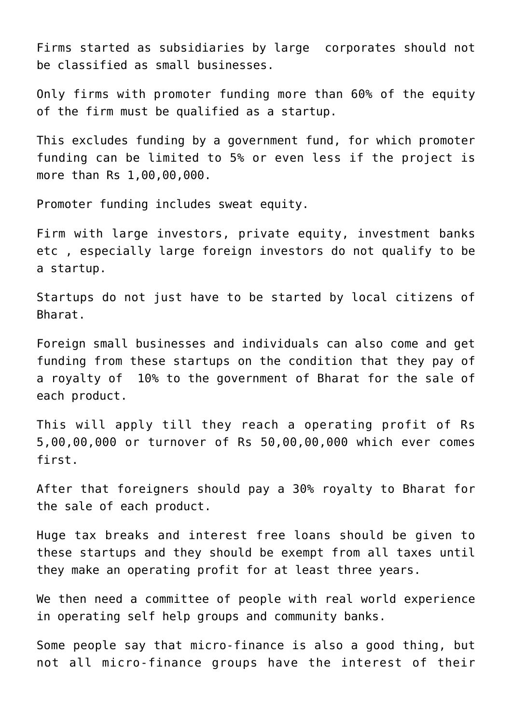Firms started as subsidiaries by large corporates should not be classified as small businesses.

Only firms with promoter funding more than 60% of the equity of the firm must be qualified as a startup.

This excludes funding by a government fund, for which promoter funding can be limited to 5% or even less if the project is more than Rs 1,00,00,000.

Promoter funding includes sweat equity.

Firm with large investors, private equity, investment banks etc , especially large foreign investors do not qualify to be a startup.

Startups do not just have to be started by local citizens of Bharat.

Foreign small businesses and individuals can also come and get funding from these startups on the condition that they pay of a royalty of 10% to the government of Bharat for the sale of each product.

This will apply till they reach a operating profit of Rs 5,00,00,000 or turnover of Rs 50,00,00,000 which ever comes first.

After that foreigners should pay a 30% royalty to Bharat for the sale of each product.

Huge tax breaks and interest free loans should be given to these startups and they should be exempt from all taxes until they make an operating profit for at least three years.

We then need a committee of people with real world experience in operating self help groups and community banks.

Some people say that micro-finance is also a good thing, but not all micro-finance groups have the interest of their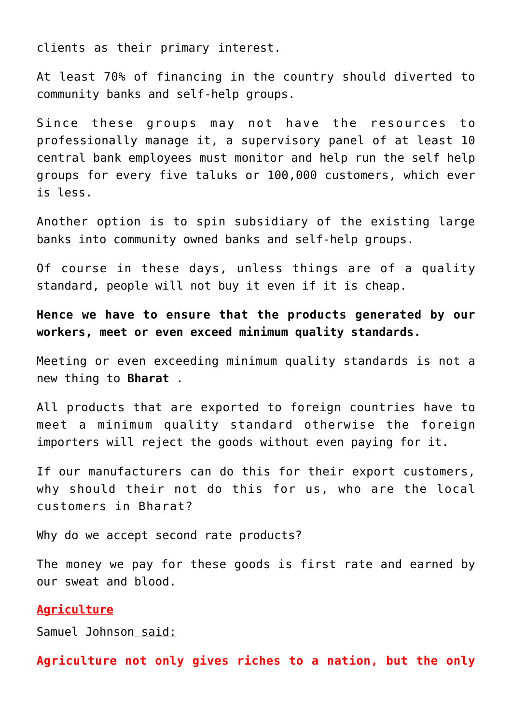clients as their primary interest.

At least 70% of financing in the country should diverted to community banks and self-help groups.

Since these groups may not have the resources to professionally manage it, a supervisory panel of at least 10 central bank employees must monitor and help run the self help groups for every five taluks or 100,000 customers, which ever is less.

Another option is to spin subsidiary of the existing large banks into community owned banks and self-help groups.

Of course in these days, unless things are of a quality standard, people will not buy it even if it is cheap.

**Hence we have to ensure that the products generated by our workers, meet or even exceed minimum quality standards.**

Meeting or even exceeding minimum quality standards is not a new thing to **[Bharat](http://aryadharma.world/bharat/)** .

All products that are exported to foreign countries have to meet a minimum quality standard otherwise the foreign importers will reject the goods without even paying for it.

If our manufacturers can do this for their export customers, why should their not do this for us, who are the local customers in Bharat?

Why do we accept second rate products?

The money we pay for these goods is first rate and earned by our sweat and blood.

## **Agriculture**

[Samuel Johnson](https://en.wikipedia.org/wiki/Samuel_Johnson) said:

**Agriculture not only gives riches to a nation, but the only**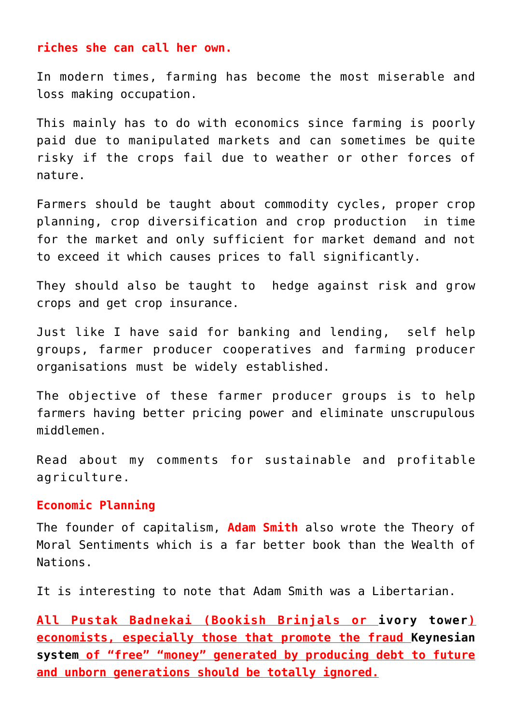## **riches she can call her own.**

In modern times, farming has become the most miserable and loss making occupation.

This mainly has to do with economics since farming is poorly paid due to manipulated markets and can sometimes be quite risky if the crops fail due to weather or other forces of nature.

Farmers should be taught about commodity cycles, proper crop planning, crop diversification and crop production in time for the market and only sufficient for market demand and not to exceed it which causes prices to fall significantly.

They should also be taught to hedge against risk and grow crops and get crop insurance.

Just like I have said for banking and lending, self help groups, farmer producer cooperatives and farming producer organisations must be widely established.

The objective of these farmer producer groups is to help farmers having better pricing power and eliminate unscrupulous middlemen.

Read about my comments for [sustainable and profitable](http://aryadharma.world/concepts/sustainableagriculture) [agriculture.](http://aryadharma.world/concepts/sustainableagriculture)

## **Economic Planning**

The founder of capitalism, **[Adam Smith](http://en.wikipedia.org/wiki/Adam_Smith)** also wrote the [Theory of](http://en.wikipedia.org/wiki/Theory_of_Moral_Sentiments) [Moral Sentiments](http://en.wikipedia.org/wiki/Theory_of_Moral_Sentiments) which is a far better book than the [Wealth of](http://en.wikipedia.org/wiki/The_Wealth_of_Nations) [Nations](http://en.wikipedia.org/wiki/The_Wealth_of_Nations).

It is interesting to note that Adam Smith was a [Libertarian](http://en.wikipedia.org/wiki/Libertarianism).

**All Pustak Badnekai (Bookish Brinjals or [ivory tower\)](https://en.wikipedia.org/wiki/Ivory_tower) economists, especially those that promote the fraud [Keynesian](https://en.wikipedia.org/wiki/John_Maynard_Keynes#Keynesian_ascendancy_1939.E2.80.9379) [system](https://en.wikipedia.org/wiki/John_Maynard_Keynes#Keynesian_ascendancy_1939.E2.80.9379) of "free" "money" generated by producing debt to future and unborn generations should be totally ignored.**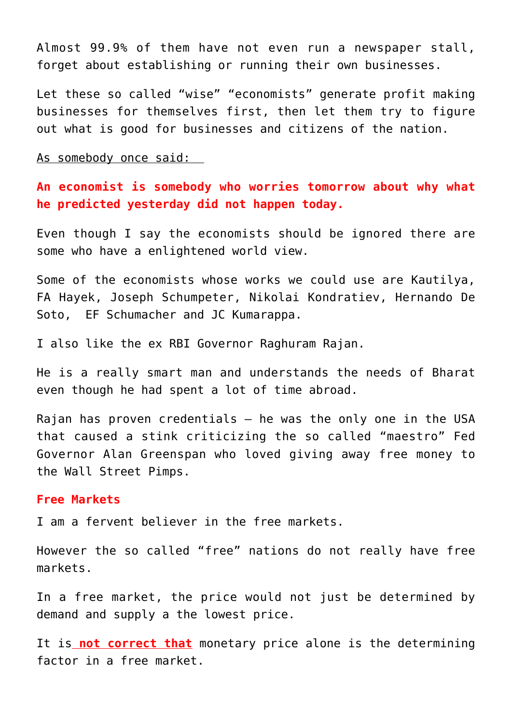Almost 99.9% of them have not even run a newspaper stall, forget about establishing or running their own businesses.

Let these so called "wise" "economists" generate profit making businesses for themselves first, then let them try to figure out what is good for businesses and citizens of the nation.

As somebody once said:

**An economist is somebody who worries tomorrow about why what he predicted yesterday did not happen today.**

Even though I say the economists should be ignored there are some who have a enlightened world view.

Some of the economists whose works we could use are [Kautilya,](http://en.wikipedia.org/wiki/Arthashastra#Economic_ideas) [FA Hayek,](http://en.wikipedia.org/wiki/Friedrich_Hayek) [Joseph Schumpeter](http://en.wikipedia.org/wiki/Schumpeter)[, Nikolai Kondratiev,](http://en.wikipedia.org/wiki/Nikolai_Kondratiev) [Hernando De](http://en.wikipedia.org/wiki/Hernando_de_Soto_Polar) [Soto,](http://en.wikipedia.org/wiki/Hernando_de_Soto_Polar) [EF Schumacher](http://en.wikipedia.org/wiki/EF_Schumacher) and [JC Kumarappa](http://en.wikipedia.org/wiki/J._C._Kumarappa).

I also like the ex RBI Governor [Raghuram Rajan](http://en.wikipedia.org/wiki/Raghuram_Rajan).

He is a really smart man and understands the needs of [Bharat](http://aryadharma.world/bharat/) even though he had spent a lot of time abroad.

Rajan has proven credentials – he was the only one in the USA that [caused a stink criticizing](http://www.nber.org/papers/w11728) the so called "maestro" Fed Governor [Alan Greenspan](http://en.wikipedia.org/wiki/Alan_Greenspan) who loved giving away free money to the [Wall Street Pimps](http://aryadharma.world/fukus/wallstreetpimps/).

#### **Free Markets**

I am a fervent believer in the free markets.

However the so called "free" nations do not really have free markets.

In a free market, the price would not just be determined by demand and supply a the lowest price.

It is **not correct that** monetary price alone is the determining factor in a free market.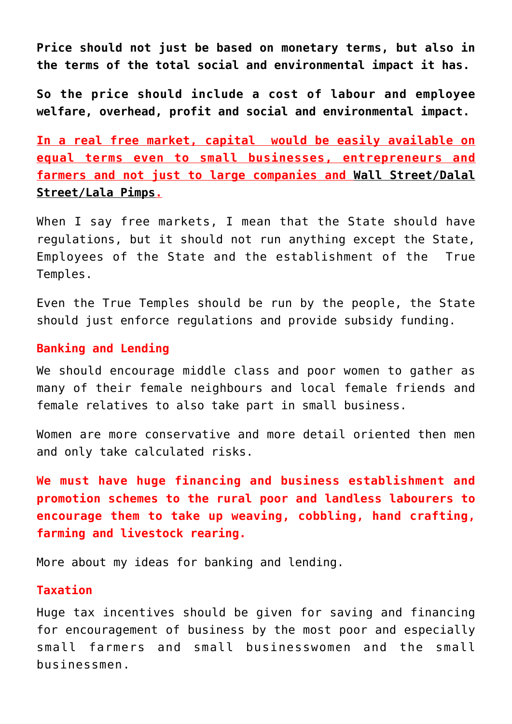**Price should not just be based on monetary terms, but also in the terms of the total social and environmental impact it has.**

**So the price should include a cost of labour and employee welfare, overhead, profit and social and environmental impact.**

**In a real free market, capital would be easily available on equal terms even to small businesses, entrepreneurs and farmers and not just to large companies and [Wall Street/Dalal](http://aryadharma.world/fukus/wallstreetpimps/) [Street/Lala Pimps.](http://aryadharma.world/fukus/wallstreetpimps/)**

When I say free markets, I mean that the State should have regulations, but it should not run anything except the [State,](http://aryadharma.world/thestate) [Employees of the State](http://aryadharma.world/thestate/employeesofthestate/) and the establishment of the [True](http://aryadharma.world/concepts/truetemples/) [Temples.](http://aryadharma.world/concepts/truetemples/)

Even the True Temples should be run by the people, the State should just enforce regulations and provide subsidy funding.

# **Banking and Lending**

We should encourage middle class and poor women to gather as many of their female neighbours and local female friends and female relatives to also take part in small business.

Women are more conservative and more detail oriented then men and only take calculated risks.

**We must have huge financing and business establishment and promotion schemes to the rural poor and landless labourers to encourage them to take up weaving, cobbling, hand crafting, farming and livestock rearing.**

[More about my ideas](http://aryadharma.world/laws/details-of-the-law/laws_bankandlend/) for banking and lending.

## **Taxation**

Huge tax incentives should be given for saving and financing for encouragement of business by the most poor and especially small farmers and small businesswomen and the small businessmen.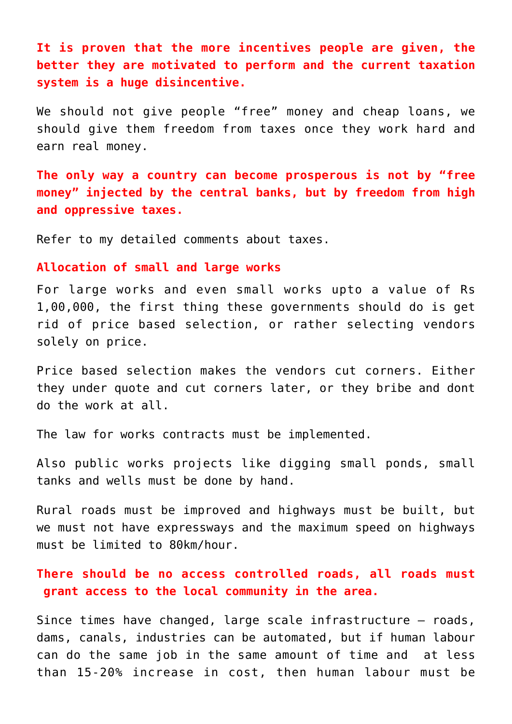**It is proven that the more incentives people are given, the better they are motivated to perform and the current taxation system is a huge disincentive.**

We should not give people "free" money and cheap loans, we should give them freedom from taxes once they work hard and earn real money.

**The only way a country can become prosperous is not by "free money" injected by the central banks, but by freedom from high and oppressive taxes.**

Refer to my [detailed comments](https://aryadharma.world/laws/details-of-the-law/laws_taxes/) about taxes.

#### **Allocation of small and large works**

For large works and even small works upto a value of Rs 1,00,000, the first thing these governments should do is get rid of price based selection, or rather selecting vendors solely on price.

Price based selection makes the vendors cut corners. Either they under quote and cut corners later, or they bribe and dont do the work at all.

The [law for works contracts](https://aryadharma.world/laws/details-of-the-law/law-contracts-for-works/) must be implemented.

Also public works projects like digging small ponds, small tanks and wells must be done by hand.

Rural roads must be improved and highways must be built, but we must not have expressways and the maximum speed on highways must be limited to 80km/hour.

**There should be no access controlled roads, all roads must grant access to the local community in the area.**

Since times have changed, large scale infrastructure – roads, dams, canals, industries can be automated, but if human labour can do the same job in the same amount of time and at less than 15-20% increase in cost, then human labour must be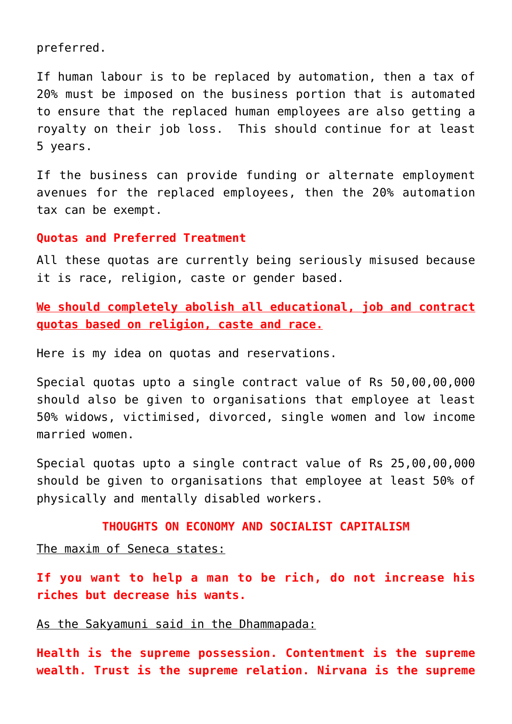preferred.

If human labour is to be replaced by automation, then a tax of 20% must be imposed on the business portion that is automated to ensure that the replaced human employees are also getting a royalty on their job loss. This should continue for at least 5 years.

If the business can provide funding or alternate employment avenues for the replaced employees, then the 20% automation tax can be exempt.

## **Quotas and Preferred Treatment**

All these quotas are currently being seriously misused because it is race, religion, caste or gender based.

**We should completely abolish all educational, job and contract quotas based on religion, caste and race.**

Here is my idea on [quotas and reservations.](https://aryadharma.world/laws/details-of-the-law/law-discrimination-and-quotas/)

Special quotas upto a single contract value of Rs 50,00,00,000 should also be given to organisations that employee at least 50% widows, victimised, divorced, single women and low income married women.

Special quotas upto a single contract value of Rs 25,00,00,000 should be given to organisations that employee at least 50% of physically and mentally disabled workers.

## **THOUGHTS ON ECONOMY AND SOCIALIST CAPITALISM**

The maxim of Seneca states:

**If you want to help a man to be rich, do not increase his riches but decrease his wants.**

As the Sakyamuni said in the Dhammapada:

**Health is the supreme possession. Contentment is the supreme wealth. Trust is the supreme relation. Nirvana is the supreme**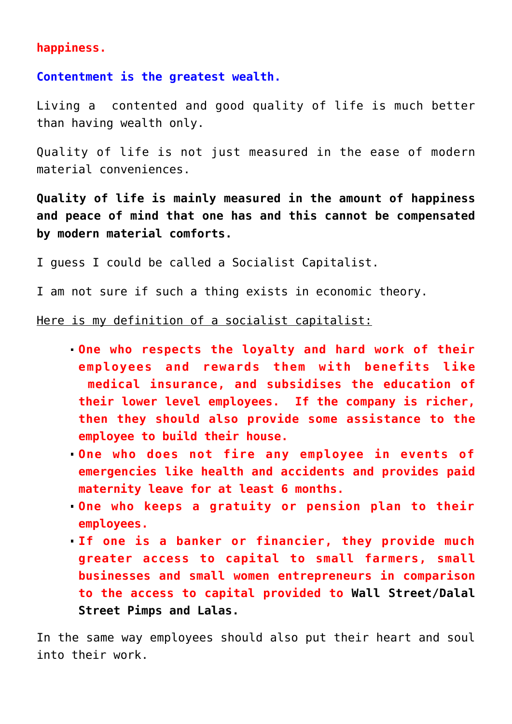## **happiness.**

**Contentment is the greatest wealth.**

Living a contented and good quality of life is much better than having wealth only.

Quality of life is not just measured in the ease of modern material conveniences.

**Quality of life is mainly measured in the amount of happiness and peace of mind that one has and this cannot be compensated by modern material comforts.**

I guess I could be called a Socialist Capitalist.

I am not sure if such a thing exists in economic theory.

## Here is my definition of a socialist capitalist:

- **One who respects the loyalty and hard work of their employees and rewards them with benefits like medical insurance, and subsidises the education of their lower level employees. If the company is richer, then they should also provide some assistance to the employee to build their house.**
- **One who does not fire any employee in events of emergencies like health and accidents and provides paid maternity leave for at least 6 months.**
- **One who keeps a gratuity or pension plan to their employees.**
- **If one is a banker or financier, they provide much greater access to capital to small farmers, small businesses and small women entrepreneurs in comparison to the access to capital provided to [Wall Street/Dalal](http://aryadharma.world/wallstreetpimps/) [Street Pimps and Lalas.](http://aryadharma.world/wallstreetpimps/)**

In the same way employees should also put their heart and soul into their work.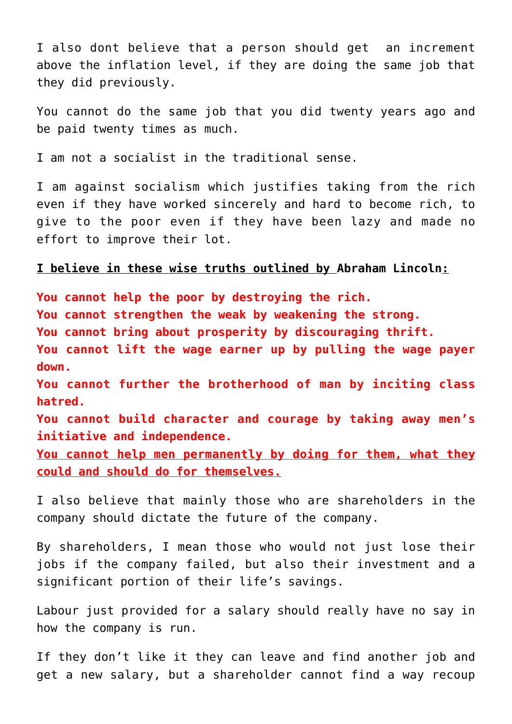I also dont believe that a person should get an increment above the inflation level, if they are doing the same job that they did previously.

You cannot do the same job that you did twenty years ago and be paid twenty times as much.

I am not a socialist in the traditional sense.

I am against socialism which justifies taking from the rich even if they have worked sincerely and hard to become rich, to give to the poor even if they have been lazy and made no effort to improve their lot.

## **I believe in these wise truths outlined by [Abraham Lincoln:](http://en.wikipedia.org/wiki/Abraham_Lincoln)**

**You cannot help the poor by destroying the rich. You cannot strengthen the weak by weakening the strong. You cannot bring about prosperity by discouraging thrift. You cannot lift the wage earner up by pulling the wage payer down. You cannot further the brotherhood of man by inciting class**

**hatred.**

**You cannot build character and courage by taking away men's initiative and independence.**

**You cannot help men permanently by doing for them, what they could and should do for themselves.**

I also believe that mainly those who are shareholders in the company should dictate the future of the company.

By shareholders, I mean those who would not just lose their jobs if the company failed, but also their investment and a significant portion of their life's savings.

Labour just provided for a salary should really have no say in how the company is run.

If they don't like it they can leave and find another job and get a new salary, but a shareholder cannot find a way recoup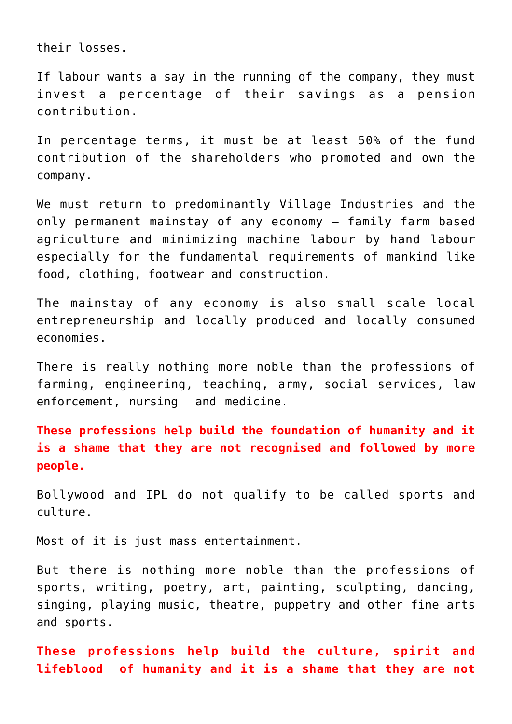their losses.

If labour wants a say in the running of the company, they must invest a percentage of their savings as a pension contribution.

In percentage terms, it must be at least 50% of the fund contribution of the shareholders who promoted and own the company.

We must return to predominantly [Village Industries](http://www.mkgandhi.org/villageindustries/villageindustries.htm) and the only permanent mainstay of any economy – family farm based agriculture and minimizing machine labour by hand labour especially for the fundamental requirements of mankind like food, clothing, footwear and construction.

The mainstay of any economy is also small scale local entrepreneurship and locally produced and locally consumed economies.

There is really nothing more noble than the professions of farming, engineering, teaching, army, social services, law enforcement, nursing and medicine.

**These professions help build the foundation of humanity and it is a shame that they are not recognised and followed by more people.** 

[Bollywood](https://en.wikipedia.org/wiki/Bollywood) and [IPL](https://en.wikipedia.org/wiki/Indian_Premier_League) do not qualify to be called sports and culture.

Most of it is just mass entertainment.

But there is nothing more noble than the professions of sports, writing, poetry, art, painting, sculpting, dancing, singing, playing music, theatre, puppetry and other fine arts and sports.

**These professions help build the culture, spirit and lifeblood of humanity and it is a shame that they are not**